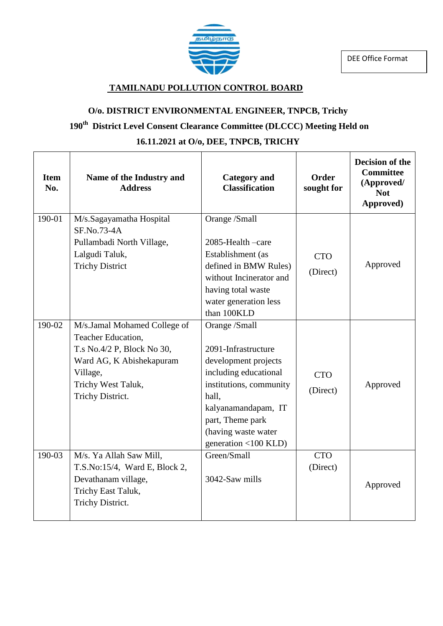

#### **TAMILNADU POLLUTION CONTROL BOARD**

#### **O/o. DISTRICT ENVIRONMENTAL ENGINEER, TNPCB, Trichy**

# **190th District Level Consent Clearance Committee (DLCCC) Meeting Held on**

#### **16.11.2021 at O/o, DEE, TNPCB, TRICHY**

| <b>Item</b><br>No. | Name of the Industry and<br><b>Address</b>                                                                                                                         | <b>Category</b> and<br><b>Classification</b>                                                                                                                                                                                                | <b>Order</b><br>sought for | Decision of the<br><b>Committee</b><br>(Approved/<br><b>Not</b><br>Approved) |
|--------------------|--------------------------------------------------------------------------------------------------------------------------------------------------------------------|---------------------------------------------------------------------------------------------------------------------------------------------------------------------------------------------------------------------------------------------|----------------------------|------------------------------------------------------------------------------|
| 190-01             | M/s.Sagayamatha Hospital<br>SF.No.73-4A<br>Pullambadi North Village,<br>Lalgudi Taluk,<br><b>Trichy District</b>                                                   | Orange /Small<br>2085-Health -care<br>Establishment (as<br>defined in BMW Rules)<br>without Incinerator and<br>having total waste<br>water generation less<br>than 100KLD                                                                   | <b>CTO</b><br>(Direct)     | Approved                                                                     |
| 190-02             | M/s.Jamal Mohamed College of<br>Teacher Education,<br>T.s No.4/2 P, Block No 30,<br>Ward AG, K Abishekapuram<br>Village,<br>Trichy West Taluk,<br>Trichy District. | Orange /Small<br>2091-Infrastructure<br>development projects<br>including educational<br>institutions, community<br>hall,<br>kalyanamandapam, IT<br>part, Theme park<br>(having waste water<br>generation $\langle 100 \text{ KLD} \rangle$ | <b>CTO</b><br>(Direct)     | Approved                                                                     |
| 190-03             | M/s. Ya Allah Saw Mill,<br>$T.S.No:15/4$ , Ward E, Block 2,<br>Devathanam village,<br>Trichy East Taluk,<br>Trichy District.                                       | Green/Small<br>3042-Saw mills                                                                                                                                                                                                               | <b>CTO</b><br>(Direct)     | Approved                                                                     |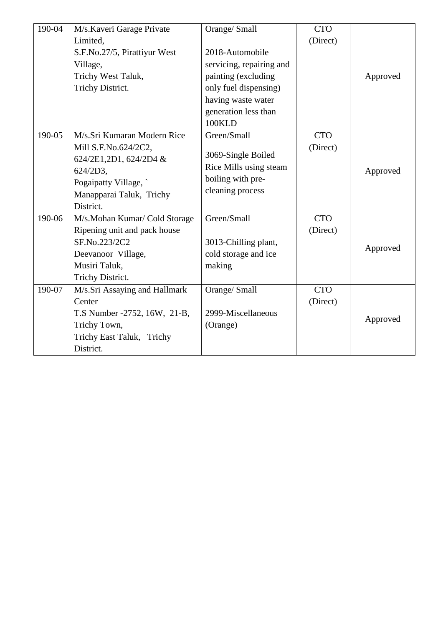| 190-04 | M/s.Kaveri Garage Private     | Orange/ Small            | <b>CTO</b> |          |
|--------|-------------------------------|--------------------------|------------|----------|
|        | Limited.                      |                          | (Direct)   |          |
|        | S.F.No.27/5, Pirattiyur West  | 2018-Automobile          |            |          |
|        | Village,                      | servicing, repairing and |            |          |
|        | Trichy West Taluk,            | painting (excluding      |            | Approved |
|        | Trichy District.              | only fuel dispensing)    |            |          |
|        |                               | having waste water       |            |          |
|        |                               | generation less than     |            |          |
|        |                               | 100KLD                   |            |          |
| 190-05 | M/s.Sri Kumaran Modern Rice   | Green/Small              | <b>CTO</b> |          |
|        | Mill S.F.No.624/2C2,          |                          | (Direct)   |          |
|        | 624/2E1,2D1, 624/2D4 &        | 3069-Single Boiled       |            |          |
|        | 624/2D3,                      | Rice Mills using steam   |            | Approved |
|        | Pogaipatty Village,           | boiling with pre-        |            |          |
|        | Manapparai Taluk, Trichy      | cleaning process         |            |          |
|        | District.                     |                          |            |          |
| 190-06 | M/s.Mohan Kumar/ Cold Storage | Green/Small              | <b>CTO</b> |          |
|        | Ripening unit and pack house  |                          | (Direct)   |          |
|        | SF.No.223/2C2                 | 3013-Chilling plant,     |            | Approved |
|        | Deevanoor Village,            | cold storage and ice     |            |          |
|        | Musiri Taluk,                 | making                   |            |          |
|        | Trichy District.              |                          |            |          |
| 190-07 | M/s.Sri Assaying and Hallmark | Orange/ Small            | <b>CTO</b> |          |
|        | Center                        |                          | (Direct)   |          |
|        | T.S Number -2752, 16W, 21-B,  | 2999-Miscellaneous       |            | Approved |
|        | Trichy Town,                  | (Orange)                 |            |          |
|        | Trichy East Taluk, Trichy     |                          |            |          |
|        | District.                     |                          |            |          |